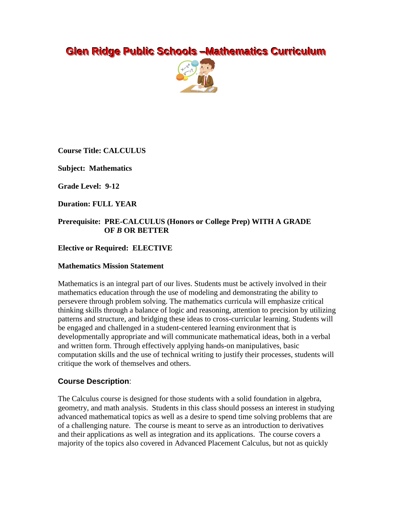# **Glen Ridge Public Schools –Mathematics Curriculum**



**Course Title: CALCULUS**

**Subject: Mathematics**

**Grade Level: 9-12**

**Duration: FULL YEAR**

## **Prerequisite: PRE-CALCULUS (Honors or College Prep) WITH A GRADE OF** *B* **OR BETTER**

### **Elective or Required: ELECTIVE**

#### **Mathematics Mission Statement**

Mathematics is an integral part of our lives. Students must be actively involved in their mathematics education through the use of modeling and demonstrating the ability to persevere through problem solving. The mathematics curricula will emphasize critical thinking skills through a balance of logic and reasoning, attention to precision by utilizing patterns and structure, and bridging these ideas to cross-curricular learning. Students will be engaged and challenged in a student-centered learning environment that is developmentally appropriate and will communicate mathematical ideas, both in a verbal and written form. Through effectively applying hands-on manipulatives, basic computation skills and the use of technical writing to justify their processes, students will critique the work of themselves and others.

#### **Course Description**:

The Calculus course is designed for those students with a solid foundation in algebra, geometry, and math analysis. Students in this class should possess an interest in studying advanced mathematical topics as well as a desire to spend time solving problems that are of a challenging nature. The course is meant to serve as an introduction to derivatives and their applications as well as integration and its applications. The course covers a majority of the topics also covered in Advanced Placement Calculus, but not as quickly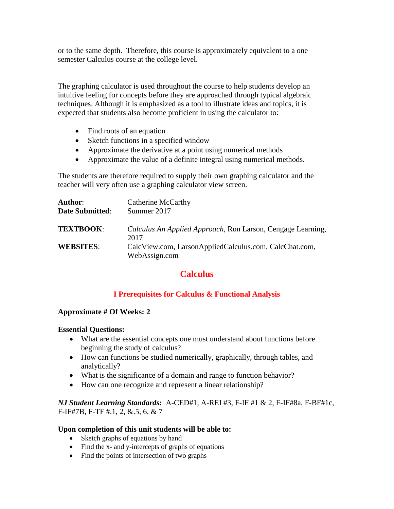or to the same depth. Therefore, this course is approximately equivalent to a one semester Calculus course at the college level.

The graphing calculator is used throughout the course to help students develop an intuitive feeling for concepts before they are approached through typical algebraic techniques. Although it is emphasized as a tool to illustrate ideas and topics, it is expected that students also become proficient in using the calculator to:

- Find roots of an equation
- Sketch functions in a specified window
- Approximate the derivative at a point using numerical methods
- Approximate the value of a definite integral using numerical methods.

The students are therefore required to supply their own graphing calculator and the teacher will very often use a graphing calculator view screen.

| <b>Author:</b>         | Catherine McCarthy                                          |
|------------------------|-------------------------------------------------------------|
| <b>Date Submitted:</b> | Summer 2017                                                 |
| <b>TEXTBOOK:</b>       | Calculus An Applied Approach, Ron Larson, Cengage Learning, |
|                        | 2017                                                        |
| <b>WEBSITES:</b>       | CalcView.com, LarsonAppliedCalculus.com, CalcChat.com,      |
|                        | WebAssign.com                                               |

# **Calculus**

# **I Prerequisites for Calculus & Functional Analysis**

#### **Approximate # Of Weeks: 2**

#### **Essential Questions:**

- What are the essential concepts one must understand about functions before beginning the study of calculus?
- How can functions be studied numerically, graphically, through tables, and analytically?
- What is the significance of a domain and range to function behavior?
- How can one recognize and represent a linear relationship?

### *NJ Student Learning Standards:* A-CED#1, A-REI #3, F-IF #1 & 2, F-IF#8a, F-BF#1c, F-IF#7B, F-TF #.1, 2, &.5, 6, & 7

#### **Upon completion of this unit students will be able to:**

- Sketch graphs of equations by hand
- Find the x- and y-intercepts of graphs of equations
- Find the points of intersection of two graphs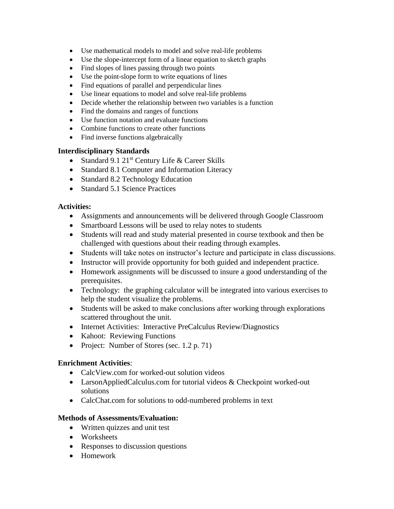- Use mathematical models to model and solve real-life problems
- Use the slope-intercept form of a linear equation to sketch graphs
- Find slopes of lines passing through two points
- Use the point-slope form to write equations of lines
- Find equations of parallel and perpendicular lines
- Use linear equations to model and solve real-life problems
- Decide whether the relationship between two variables is a function
- Find the domains and ranges of functions
- Use function notation and evaluate functions
- Combine functions to create other functions
- Find inverse functions algebraically

#### **Interdisciplinary Standards**

- Standard 9.1  $21^{st}$  Century Life & Career Skills
- Standard 8.1 Computer and Information Literacy
- Standard 8.2 Technology Education
- Standard 5.1 Science Practices

#### **Activities:**

- Assignments and announcements will be delivered through Google Classroom
- Smartboard Lessons will be used to relay notes to students
- Students will read and study material presented in course textbook and then be challenged with questions about their reading through examples.
- Students will take notes on instructor's lecture and participate in class discussions.
- Instructor will provide opportunity for both guided and independent practice.
- Homework assignments will be discussed to insure a good understanding of the prerequisites.
- Technology: the graphing calculator will be integrated into various exercises to help the student visualize the problems.
- Students will be asked to make conclusions after working through explorations scattered throughout the unit.
- Internet Activities: Interactive PreCalculus Review/Diagnostics
- Kahoot: Reviewing Functions
- Project: Number of Stores (sec. 1.2 p. 71)

#### **Enrichment Activities**:

- CalcView.com for worked-out solution videos
- LarsonAppliedCalculus.com for tutorial videos & Checkpoint worked-out solutions
- CalcChat.com for solutions to odd-numbered problems in text

#### **Methods of Assessments/Evaluation:**

- Written quizzes and unit test
- Worksheets
- Responses to discussion questions
- Homework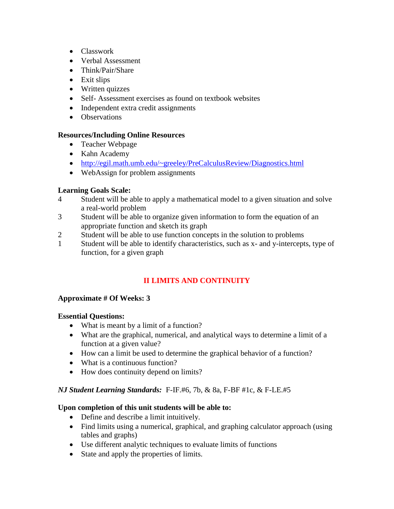- Classwork
- Verbal Assessment
- Think/Pair/Share
- Exit slips
- Written quizzes
- Self- Assessment exercises as found on textbook websites
- Independent extra credit assignments
- Observations

# **Resources/Including Online Resources**

- Teacher Webpage
- Kahn Academy
- <http://egil.math.umb.edu/~greeley/PreCalculusReview/Diagnostics.html>
- WebAssign for problem assignments

# **Learning Goals Scale:**

- 4 Student will be able to apply a mathematical model to a given situation and solve a real-world problem
- 3 Student will be able to organize given information to form the equation of an appropriate function and sketch its graph
- 2 Student will be able to use function concepts in the solution to problems
- 1 Student will be able to identify characteristics, such as x- and y-intercepts, type of function, for a given graph

# **II LIMITS AND CONTINUITY**

# **Approximate # Of Weeks: 3**

# **Essential Questions:**

- What is meant by a limit of a function?
- What are the graphical, numerical, and analytical ways to determine a limit of a function at a given value?
- How can a limit be used to determine the graphical behavior of a function?
- What is a continuous function?
- How does continuity depend on limits?

# *NJ Student Learning Standards:* F-IF.#6, 7b, & 8a, F-BF #1c, & F-LE.#5

# **Upon completion of this unit students will be able to:**

- Define and describe a limit intuitively.
- Find limits using a numerical, graphical, and graphing calculator approach (using tables and graphs)
- Use different analytic techniques to evaluate limits of functions
- State and apply the properties of limits.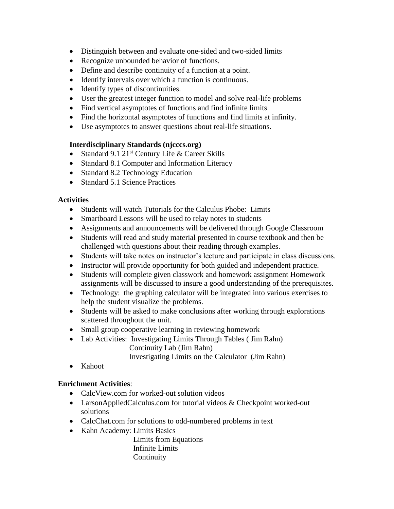- Distinguish between and evaluate one-sided and two-sided limits
- Recognize unbounded behavior of functions.
- Define and describe continuity of a function at a point.
- Identify intervals over which a function is continuous.
- Identify types of discontinuities.
- User the greatest integer function to model and solve real-life problems
- Find vertical asymptotes of functions and find infinite limits
- Find the horizontal asymptotes of functions and find limits at infinity.
- Use asymptotes to answer questions about real-life situations.

# **Interdisciplinary Standards (njcccs.org)**

- Standard 9.1  $21^{st}$  Century Life & Career Skills
- Standard 8.1 Computer and Information Literacy
- Standard 8.2 Technology Education
- Standard 5.1 Science Practices

# **Activities**

- Students will watch Tutorials for the Calculus Phobe: Limits
- Smartboard Lessons will be used to relay notes to students
- Assignments and announcements will be delivered through Google Classroom
- Students will read and study material presented in course textbook and then be challenged with questions about their reading through examples.
- Students will take notes on instructor's lecture and participate in class discussions.
- Instructor will provide opportunity for both guided and independent practice.
- Students will complete given classwork and homework assignment Homework assignments will be discussed to insure a good understanding of the prerequisites.
- Technology: the graphing calculator will be integrated into various exercises to help the student visualize the problems.
- Students will be asked to make conclusions after working through explorations scattered throughout the unit.
- Small group cooperative learning in reviewing homework
- Lab Activities: Investigating Limits Through Tables ( Jim Rahn) Continuity Lab (Jim Rahn)

Investigating Limits on the Calculator (Jim Rahn)

• Kahoot

# **Enrichment Activities**:

- CalcView.com for worked-out solution videos
- LarsonAppliedCalculus.com for tutorial videos & Checkpoint worked-out solutions
- CalcChat.com for solutions to odd-numbered problems in text
- Kahn Academy: Limits Basics

 Limits from Equations Infinite Limits **Continuity**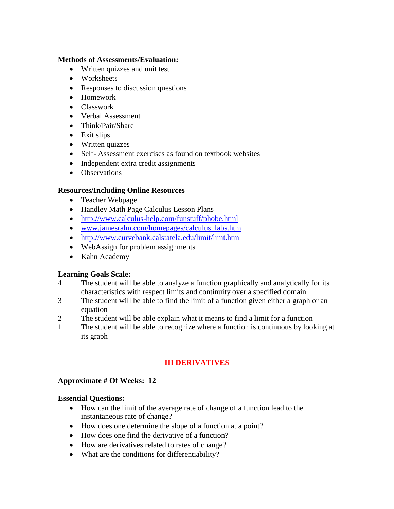#### **Methods of Assessments/Evaluation:**

- Written quizzes and unit test
- Worksheets
- Responses to discussion questions
- Homework
- Classwork
- Verbal Assessment
- Think/Pair/Share
- Exit slips
- Written quizzes
- Self- Assessment exercises as found on textbook websites
- Independent extra credit assignments
- Observations

# **Resources/Including Online Resources**

- Teacher Webpage
- Handley Math Page Calculus Lesson Plans
- <http://www.calculus-help.com/funstuff/phobe.html>
- [www.jamesrahn.com/homepages/calculus\\_labs.htm](http://www.jamesrahn.com/homepages/calculus_labs.htm)
- <http://www.curvebank.calstatela.edu/limit/limt.htm>
- WebAssign for problem assignments
- Kahn Academy

# **Learning Goals Scale:**

- 4 The student will be able to analyze a function graphically and analytically for its characteristics with respect limits and continuity over a specified domain
- 3 The student will be able to find the limit of a function given either a graph or an equation
- 2 The student will be able explain what it means to find a limit for a function
- 1 The student will be able to recognize where a function is continuous by looking at its graph

# **III DERIVATIVES**

# **Approximate # Of Weeks: 12**

# **Essential Questions:**

- How can the limit of the average rate of change of a function lead to the instantaneous rate of change?
- How does one determine the slope of a function at a point?
- How does one find the derivative of a function?
- How are derivatives related to rates of change?
- What are the conditions for differentiability?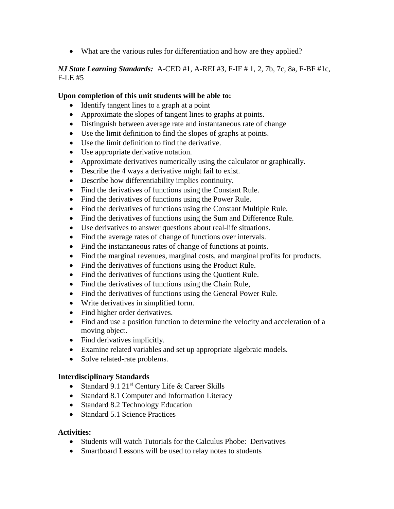What are the various rules for differentiation and how are they applied?

# *NJ State Learning Standards:* A-CED #1, A-REI #3, F-IF # 1, 2, 7b, 7c, 8a, F-BF #1c, F-LE #5

## **Upon completion of this unit students will be able to:**

- Identify tangent lines to a graph at a point
- Approximate the slopes of tangent lines to graphs at points.
- Distinguish between average rate and instantaneous rate of change
- Use the limit definition to find the slopes of graphs at points.
- Use the limit definition to find the derivative.
- Use appropriate derivative notation.
- Approximate derivatives numerically using the calculator or graphically.
- Describe the 4 ways a derivative might fail to exist.
- Describe how differentiability implies continuity.
- Find the derivatives of functions using the Constant Rule.
- Find the derivatives of functions using the Power Rule.
- Find the derivatives of functions using the Constant Multiple Rule.
- Find the derivatives of functions using the Sum and Difference Rule.
- Use derivatives to answer questions about real-life situations.
- Find the average rates of change of functions over intervals.
- Find the instantaneous rates of change of functions at points.
- Find the marginal revenues, marginal costs, and marginal profits for products.
- Find the derivatives of functions using the Product Rule.
- Find the derivatives of functions using the Quotient Rule.
- Find the derivatives of functions using the Chain Rule,
- Find the derivatives of functions using the General Power Rule.
- Write derivatives in simplified form.
- Find higher order derivatives.
- Find and use a position function to determine the velocity and acceleration of a moving object.
- Find derivatives implicitly.
- Examine related variables and set up appropriate algebraic models.
- Solve related-rate problems.

# **Interdisciplinary Standards**

- Standard 9.1  $21^{st}$  Century Life & Career Skills
- Standard 8.1 Computer and Information Literacy
- Standard 8.2 Technology Education
- Standard 5.1 Science Practices

# **Activities:**

- Students will watch Tutorials for the Calculus Phobe: Derivatives
- Smartboard Lessons will be used to relay notes to students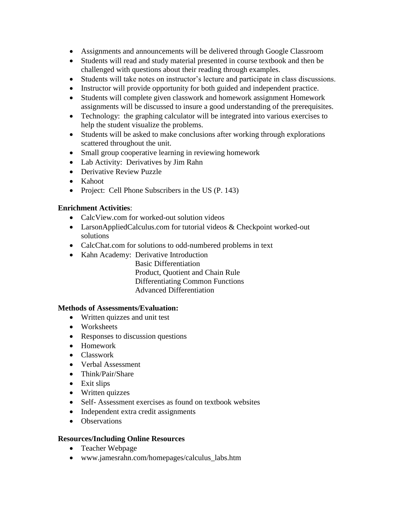- Assignments and announcements will be delivered through Google Classroom
- Students will read and study material presented in course textbook and then be challenged with questions about their reading through examples.
- Students will take notes on instructor's lecture and participate in class discussions.
- Instructor will provide opportunity for both guided and independent practice.
- Students will complete given classwork and homework assignment Homework assignments will be discussed to insure a good understanding of the prerequisites.
- Technology: the graphing calculator will be integrated into various exercises to help the student visualize the problems.
- Students will be asked to make conclusions after working through explorations scattered throughout the unit.
- Small group cooperative learning in reviewing homework
- Lab Activity: Derivatives by Jim Rahn
- Derivative Review Puzzle
- Kahoot
- Project: Cell Phone Subscribers in the US (P. 143)

# **Enrichment Activities**:

- CalcView.com for worked-out solution videos
- LarsonAppliedCalculus.com for tutorial videos & Checkpoint worked-out solutions
- CalcChat.com for solutions to odd-numbered problems in text
- Kahn Academy: Derivative Introduction

 Basic Differentiation Product, Quotient and Chain Rule Differentiating Common Functions Advanced Differentiation

# **Methods of Assessments/Evaluation:**

- Written quizzes and unit test
- Worksheets
- Responses to discussion questions
- Homework
- Classwork
- Verbal Assessment
- Think/Pair/Share
- Exit slips
- Written quizzes
- Self- Assessment exercises as found on textbook websites
- Independent extra credit assignments
- Observations

# **Resources/Including Online Resources**

- Teacher Webpage
- www.jamesrahn.com/homepages/calculus\_labs.htm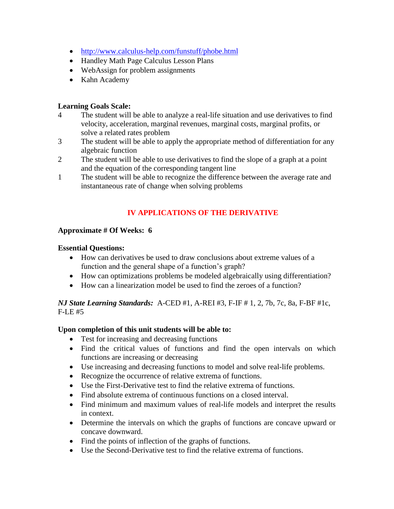- <http://www.calculus-help.com/funstuff/phobe.html>
- Handley Math Page Calculus Lesson Plans
- WebAssign for problem assignments
- Kahn Academy

#### **Learning Goals Scale:**

- 4 The student will be able to analyze a real-life situation and use derivatives to find velocity, acceleration, marginal revenues, marginal costs, marginal profits, or solve a related rates problem
- 3 The student will be able to apply the appropriate method of differentiation for any algebraic function
- 2 The student will be able to use derivatives to find the slope of a graph at a point and the equation of the corresponding tangent line
- 1 The student will be able to recognize the difference between the average rate and instantaneous rate of change when solving problems

# **IV APPLICATIONS OF THE DERIVATIVE**

#### **Approximate # Of Weeks: 6**

#### **Essential Questions:**

- How can derivatives be used to draw conclusions about extreme values of a function and the general shape of a function's graph?
- How can optimizations problems be modeled algebraically using differentiation?
- $\bullet$  How can a linearization model be used to find the zeroes of a function?

### *NJ State Learning Standards:* A-CED #1, A-REI #3, F-IF # 1, 2, 7b, 7c, 8a, F-BF #1c, F-LE #5

#### **Upon completion of this unit students will be able to:**

- Test for increasing and decreasing functions
- Find the critical values of functions and find the open intervals on which functions are increasing or decreasing
- Use increasing and decreasing functions to model and solve real-life problems.
- Recognize the occurrence of relative extrema of functions.
- Use the First-Derivative test to find the relative extrema of functions.
- Find absolute extrema of continuous functions on a closed interval.
- Find minimum and maximum values of real-life models and interpret the results in context.
- Determine the intervals on which the graphs of functions are concave upward or concave downward.
- Find the points of inflection of the graphs of functions.
- Use the Second-Derivative test to find the relative extrema of functions.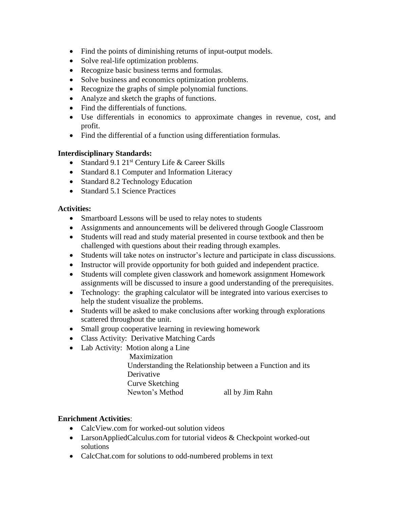- Find the points of diminishing returns of input-output models.
- Solve real-life optimization problems.
- Recognize basic business terms and formulas.
- Solve business and economics optimization problems.
- Recognize the graphs of simple polynomial functions.
- Analyze and sketch the graphs of functions.
- Find the differentials of functions.
- Use differentials in economics to approximate changes in revenue, cost, and profit.
- Find the differential of a function using differentiation formulas.

# **Interdisciplinary Standards:**

- Standard 9.1  $21^{st}$  Century Life & Career Skills
- Standard 8.1 Computer and Information Literacy
- Standard 8.2 Technology Education
- Standard 5.1 Science Practices

# **Activities:**

- Smartboard Lessons will be used to relay notes to students
- Assignments and announcements will be delivered through Google Classroom
- Students will read and study material presented in course textbook and then be challenged with questions about their reading through examples.
- Students will take notes on instructor's lecture and participate in class discussions.
- Instructor will provide opportunity for both guided and independent practice.
- Students will complete given classwork and homework assignment Homework assignments will be discussed to insure a good understanding of the prerequisites.
- Technology: the graphing calculator will be integrated into various exercises to help the student visualize the problems.
- Students will be asked to make conclusions after working through explorations scattered throughout the unit.
- Small group cooperative learning in reviewing homework
- Class Activity: Derivative Matching Cards
- Lab Activity: Motion along a Line
	- Maximization Understanding the Relationship between a Function and its Derivative Curve Sketching Newton's Method all by Jim Rahn

# **Enrichment Activities**:

- CalcView.com for worked-out solution videos
- LarsonAppliedCalculus.com for tutorial videos & Checkpoint worked-out solutions
- CalcChat.com for solutions to odd-numbered problems in text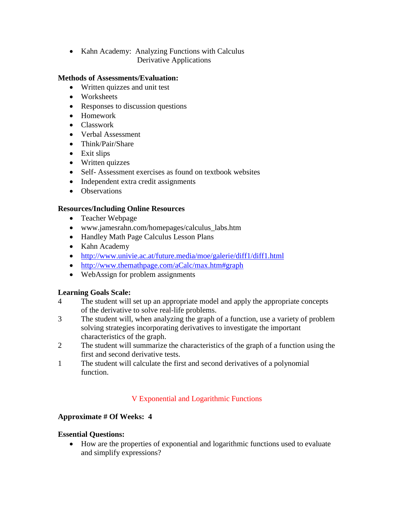• Kahn Academy: Analyzing Functions with Calculus Derivative Applications

## **Methods of Assessments/Evaluation:**

- Written quizzes and unit test
- Worksheets
- Responses to discussion questions
- Homework
- Classwork
- Verbal Assessment
- Think/Pair/Share
- Exit slips
- Written quizzes
- Self- Assessment exercises as found on textbook websites
- Independent extra credit assignments
- Observations

# **Resources/Including Online Resources**

- Teacher Webpage
- www.jamesrahn.com/homepages/calculus\_labs.htm
- Handley Math Page Calculus Lesson Plans
- Kahn Academy
- <http://www.univie.ac.at/future.media/moe/galerie/diff1/diff1.html>
- <http://www.themathpage.com/aCalc/max.htm#graph>
- WebAssign for problem assignments

# **Learning Goals Scale:**

- 4 The student will set up an appropriate model and apply the appropriate concepts of the derivative to solve real-life problems.
- 3 The student will, when analyzing the graph of a function, use a variety of problem solving strategies incorporating derivatives to investigate the important characteristics of the graph.
- 2 The student will summarize the characteristics of the graph of a function using the first and second derivative tests.
- 1 The student will calculate the first and second derivatives of a polynomial function.

# V Exponential and Logarithmic Functions

# **Approximate # Of Weeks: 4**

# **Essential Questions:**

 How are the properties of exponential and logarithmic functions used to evaluate and simplify expressions?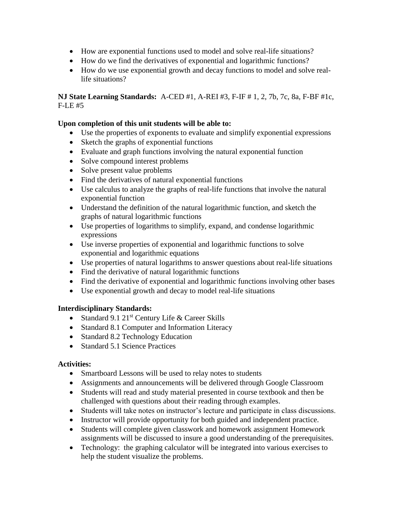- How are exponential functions used to model and solve real-life situations?
- How do we find the derivatives of exponential and logarithmic functions?
- How do we use exponential growth and decay functions to model and solve reallife situations?

**NJ State Learning Standards:** A-CED #1, A-REI #3, F-IF # 1, 2, 7b, 7c, 8a, F-BF #1c, F-LE #5

## **Upon completion of this unit students will be able to:**

- Use the properties of exponents to evaluate and simplify exponential expressions
- Sketch the graphs of exponential functions
- Evaluate and graph functions involving the natural exponential function
- Solve compound interest problems
- Solve present value problems
- Find the derivatives of natural exponential functions
- Use calculus to analyze the graphs of real-life functions that involve the natural exponential function
- Understand the definition of the natural logarithmic function, and sketch the graphs of natural logarithmic functions
- Use properties of logarithms to simplify, expand, and condense logarithmic expressions
- Use inverse properties of exponential and logarithmic functions to solve exponential and logarithmic equations
- Use properties of natural logarithms to answer questions about real-life situations
- Find the derivative of natural logarithmic functions
- Find the derivative of exponential and logarithmic functions involving other bases
- Use exponential growth and decay to model real-life situations

# **Interdisciplinary Standards:**

- Standard 9.1  $21^{st}$  Century Life & Career Skills
- Standard 8.1 Computer and Information Literacy
- Standard 8.2 Technology Education
- Standard 5.1 Science Practices

# **Activities:**

- Smartboard Lessons will be used to relay notes to students
- Assignments and announcements will be delivered through Google Classroom
- Students will read and study material presented in course textbook and then be challenged with questions about their reading through examples.
- Students will take notes on instructor's lecture and participate in class discussions.
- Instructor will provide opportunity for both guided and independent practice.
- Students will complete given classwork and homework assignment Homework assignments will be discussed to insure a good understanding of the prerequisites.
- Technology: the graphing calculator will be integrated into various exercises to help the student visualize the problems.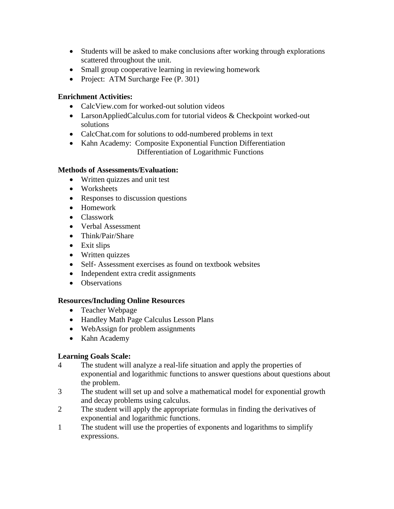- Students will be asked to make conclusions after working through explorations scattered throughout the unit.
- Small group cooperative learning in reviewing homework
- Project: ATM Surcharge Fee (P. 301)

# **Enrichment Activities:**

- CalcView.com for worked-out solution videos
- LarsonAppliedCalculus.com for tutorial videos & Checkpoint worked-out solutions
- CalcChat.com for solutions to odd-numbered problems in text
- Kahn Academy: Composite Exponential Function Differentiation Differentiation of Logarithmic Functions

#### **Methods of Assessments/Evaluation:**

- Written quizzes and unit test
- Worksheets
- Responses to discussion questions
- Homework
- Classwork
- Verbal Assessment
- Think/Pair/Share
- Exit slips
- Written quizzes
- Self- Assessment exercises as found on textbook websites
- Independent extra credit assignments
- Observations

# **Resources/Including Online Resources**

- Teacher Webpage
- Handley Math Page Calculus Lesson Plans
- WebAssign for problem assignments
- Kahn Academy

# **Learning Goals Scale:**

- 4 The student will analyze a real-life situation and apply the properties of exponential and logarithmic functions to answer questions about questions about the problem.
- 3 The student will set up and solve a mathematical model for exponential growth and decay problems using calculus.
- 2 The student will apply the appropriate formulas in finding the derivatives of exponential and logarithmic functions.
- 1 The student will use the properties of exponents and logarithms to simplify expressions.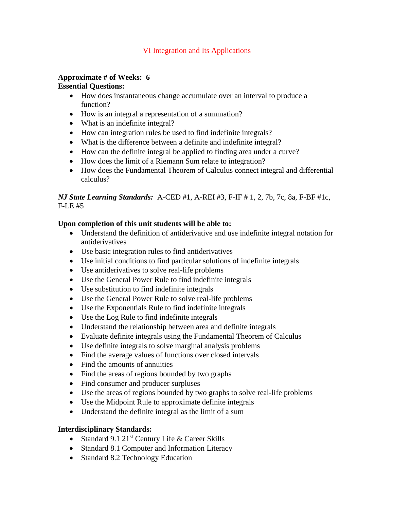## VI Integration and Its Applications

#### **Approximate # of Weeks: 6 Essential Questions:**

- How does instantaneous change accumulate over an interval to produce a function?
- How is an integral a representation of a summation?
- What is an indefinite integral?
- How can integration rules be used to find indefinite integrals?
- What is the difference between a definite and indefinite integral?
- How can the definite integral be applied to finding area under a curve?
- How does the limit of a Riemann Sum relate to integration?
- How does the Fundamental Theorem of Calculus connect integral and differential calculus?

# *NJ State Learning Standards:* A-CED #1, A-REI #3, F-IF # 1, 2, 7b, 7c, 8a, F-BF #1c, F-LE #5

# **Upon completion of this unit students will be able to:**

- Understand the definition of antiderivative and use indefinite integral notation for antiderivatives
- Use basic integration rules to find antiderivatives
- Use initial conditions to find particular solutions of indefinite integrals
- Use antiderivatives to solve real-life problems
- Use the General Power Rule to find indefinite integrals
- Use substitution to find indefinite integrals
- Use the General Power Rule to solve real-life problems
- Use the Exponentials Rule to find indefinite integrals
- Use the Log Rule to find indefinite integrals
- Understand the relationship between area and definite integrals
- Evaluate definite integrals using the Fundamental Theorem of Calculus
- Use definite integrals to solve marginal analysis problems
- Find the average values of functions over closed intervals
- Find the amounts of annuities
- Find the areas of regions bounded by two graphs
- Find consumer and producer surpluses
- Use the areas of regions bounded by two graphs to solve real-life problems
- Use the Midpoint Rule to approximate definite integrals
- Understand the definite integral as the limit of a sum

# **Interdisciplinary Standards:**

- Standard 9.1  $21^{st}$  Century Life & Career Skills
- Standard 8.1 Computer and Information Literacy
- Standard 8.2 Technology Education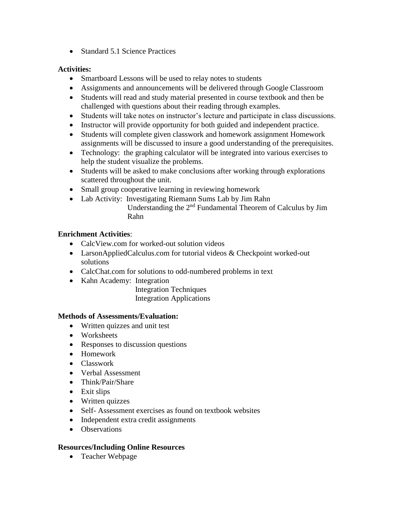• Standard 5.1 Science Practices

# **Activities:**

- Smartboard Lessons will be used to relay notes to students
- Assignments and announcements will be delivered through Google Classroom
- Students will read and study material presented in course textbook and then be challenged with questions about their reading through examples.
- Students will take notes on instructor's lecture and participate in class discussions.
- Instructor will provide opportunity for both guided and independent practice.
- Students will complete given classwork and homework assignment Homework assignments will be discussed to insure a good understanding of the prerequisites.
- Technology: the graphing calculator will be integrated into various exercises to help the student visualize the problems.
- Students will be asked to make conclusions after working through explorations scattered throughout the unit.
- Small group cooperative learning in reviewing homework
- Lab Activity: Investigating Riemann Sums Lab by Jim Rahn Understanding the 2nd Fundamental Theorem of Calculus by Jim Rahn

# **Enrichment Activities**:

- CalcView.com for worked-out solution videos
- LarsonAppliedCalculus.com for tutorial videos & Checkpoint worked-out solutions
- CalcChat.com for solutions to odd-numbered problems in text
- Kahn Academy: Integration

 Integration Techniques Integration Applications

# **Methods of Assessments/Evaluation:**

- Written quizzes and unit test
- Worksheets
- Responses to discussion questions
- Homework
- Classwork
- Verbal Assessment
- Think/Pair/Share
- Exit slips
- Written quizzes
- Self- Assessment exercises as found on textbook websites
- Independent extra credit assignments
- Observations

# **Resources/Including Online Resources**

Teacher Webpage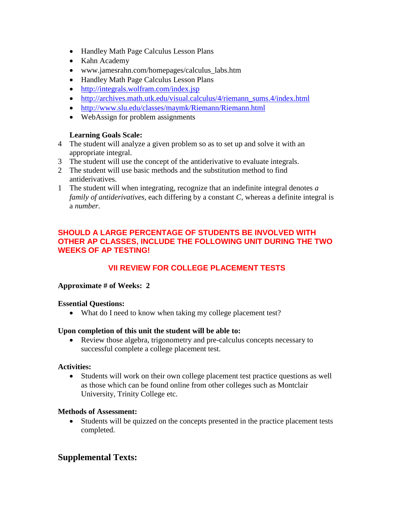- Handley Math Page Calculus Lesson Plans
- Kahn Academy
- www.jamesrahn.com/homepages/calculus\_labs.htm
- Handley Math Page Calculus Lesson Plans
- <http://integrals.wolfram.com/index.jsp>
- [http://archives.math.utk.edu/visual.calculus/4/riemann\\_sums.4/index.html](http://archives.math.utk.edu/visual.calculus/4/riemann_sums.4/index.html)
- <http://www.slu.edu/classes/maymk/Riemann/Riemann.html>
- WebAssign for problem assignments

# **Learning Goals Scale:**

- 4 The student will analyze a given problem so as to set up and solve it with an appropriate integral.
- 3 The student will use the concept of the antiderivative to evaluate integrals.
- 2 The student will use basic methods and the substitution method to find antiderivatives.
- 1 The student will when integrating, recognize that an indefinite integral denotes *a family of antiderivatives,* each differing by a constant *C,* whereas a definite integral is a *number.*

# **SHOULD A LARGE PERCENTAGE OF STUDENTS BE INVOLVED WITH OTHER AP CLASSES, INCLUDE THE FOLLOWING UNIT DURING THE TWO WEEKS OF AP TESTING!**

# **VII REVIEW FOR COLLEGE PLACEMENT TESTS**

# **Approximate # of Weeks: 2**

# **Essential Questions:**

• What do I need to know when taking my college placement test?

# **Upon completion of this unit the student will be able to:**

• Review those algebra, trigonometry and pre-calculus concepts necessary to successful complete a college placement test.

# **Activities:**

 Students will work on their own college placement test practice questions as well as those which can be found online from other colleges such as Montclair University, Trinity College etc.

# **Methods of Assessment:**

 Students will be quizzed on the concepts presented in the practice placement tests completed.

# **Supplemental Texts:**